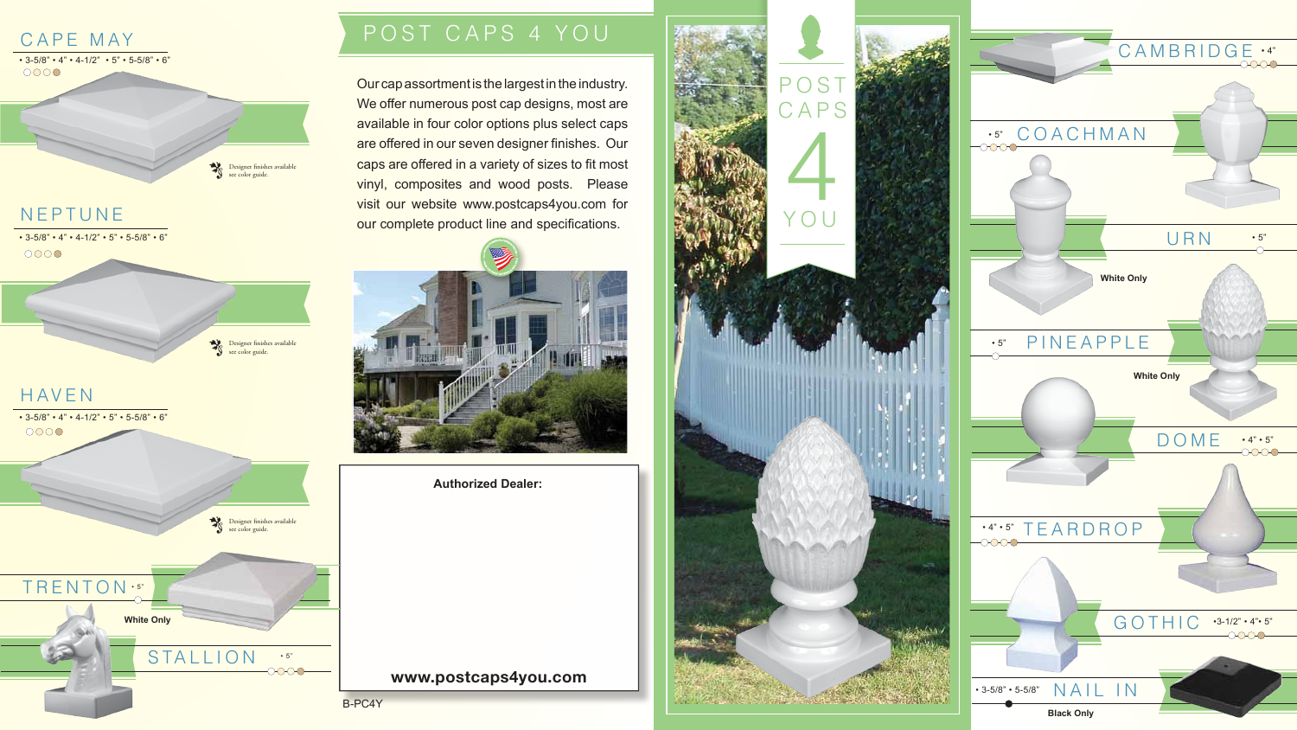**Authorized Dealer:**

#### **www.postcaps4you.com**



• 3-5/8" • 4" • 4-1/2" • 5" • 5-5/8" • 6"<br>○○○○

Designer finishes available<br>see color guide. see color guide.

### NEPTUNE







Our cap assortment is the largest in the industry. We offer numerous post cap designs, most are available in four color options plus select caps are offered in our seven designer finishes. Our caps are offered in a variety of sizes to fit most vinyl, composites and wood posts. Please visit our website www.postcaps4you.com for our complete product line and specifications.



## P OST CAPS 4 YOU

B-PC4Y